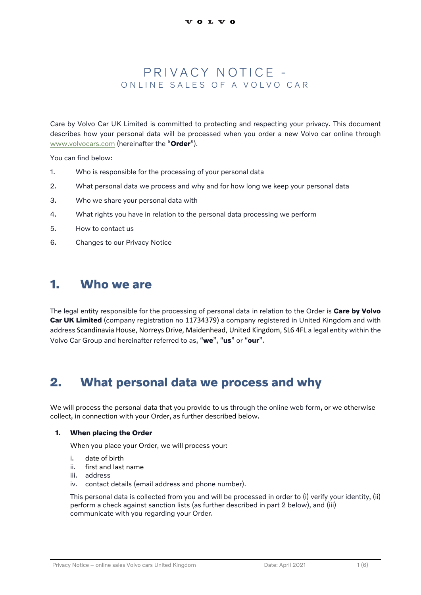## PRIVACY NOTICE -ON LINE SALES OF A VOLVO CAR

Care by Volvo Car UK Limited is committed to protecting and respecting your privacy. This document describes how your personal data will be processed when you order a new Volvo car online through [www.volvocars.com](http://www.volvocars.com/) (hereinafter the "**Order**").

You can find below:

- 1. Who is responsible for the processing of your personal data
- 2. What personal data we process and why and for how long we keep your personal data
- 3. Who we share your personal data with
- 4. What rights you have in relation to the personal data processing we perform
- 5. How to contact us
- 6. Changes to our Privacy Notice

## **1. Who we are**

The legal entity responsible for the processing of personal data in relation to the Order is **Care by Volvo Car UK Limited** (company registration no 11734379) a company registered in United Kingdom and with address Scandinavia House, Norreys Drive, Maidenhead, United Kingdom, SL6 4FL a legal entity within the Volvo Car Group and hereinafter referred to as, "**we**", "**us**" or "**our**".

## **2. What personal data we process and why**

We will process the personal data that you provide to us through the online web form, or we otherwise collect, in connection with your Order, as further described below.

#### **1. When placing the Order**

When you place your Order, we will process your:

- i. date of birth
- ii. first and last name
- iii. address
- iv. contact details (email address and phone number).

This personal data is collected from you and will be processed in order to (i) verify your identity, (ii) perform a check against sanction lists (as further described in part 2 below), and (iii) communicate with you regarding your Order.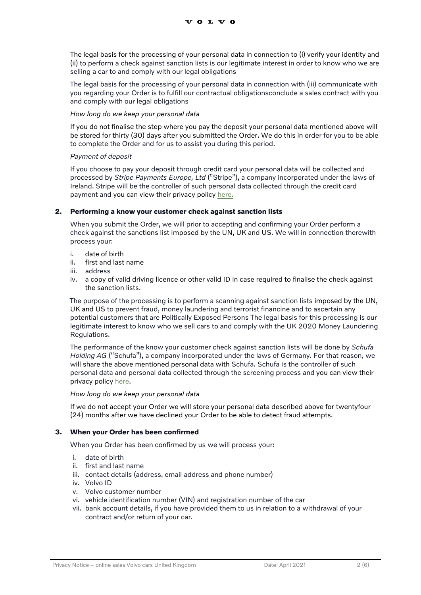The legal basis for the processing of your personal data in connection to (i) verify your identity and (ii) to perform a check against sanction lists is our legitimate interest in order to know who we are selling a car to and comply with our legal obligations

The legal basis for the processing of your personal data in connection with (iii) communicate with you regarding your Order is to fulfill our contractual obligationsconclude a sales contract with you and comply with our legal obligations

### *How long do we keep your personal data*

If you do not finalise the step where you pay the deposit your personal data mentioned above will be stored for thirty (30) days after you submitted the Order. We do this in order for you to be able to complete the Order and for us to assist you during this period.

#### *Payment of deposit*

If you choose to pay your deposit through credit card your personal data will be collected and processed by *Stripe Payments Europe, Ltd* ("Stripe"), a company incorporated under the laws of Ireland. Stripe will be the controller of such personal data collected through the credit card payment and you can view their privacy polic[y here.](https://stripe.com/gb/privacy)

#### **2. Performing a know your customer check against sanction lists**

When you submit the Order, we will prior to accepting and confirming your Order perform a check against the sanctions list imposed by the UN, UK and US. We will in connection therewith process your:

- i. date of birth
- ii. first and last name
- iii. address
- iv. a copy of valid driving licence or other valid ID in case required to finalise the check against the sanction lists.

The purpose of the processing is to perform a scanning against sanction lists imposed by the UN, UK and US to prevent fraud, money laundering and terrorist financine and to ascertain any potential customers that are Politically Exposed Persons The legal basis for this processing is our legitimate interest to know who we sell cars to and comply with the UK 2020 Money Laundering Regulations.

The performance of the know your customer check against sanction lists will be done by *Schufa Holding AG* ("Schufa"), a company incorporated under the laws of Germany. For that reason, we will share the above mentioned personal data with Schufa. Schufa is the controller of such personal data and personal data collected through the screening process and you can view their privacy policy [here.](https://www.schufa.de/en/data-privacy/)

#### *How long do we keep your personal data*

If we do not accept your Order we will store your personal data described above for twentyfour (24) months after we have declined your Order to be able to detect fraud attempts.

### **3. When your Order has been confirmed**

When you Order has been confirmed by us we will process your:

- i. date of birth
- ii. first and last name
- iii. contact details (address, email address and phone number)
- iv. Volvo ID
- v. Volvo customer number
- vi. vehicle identification number (VIN) and registration number of the car
- vii. bank account details, if you have provided them to us in relation to a withdrawal of your contract and/or return of your car.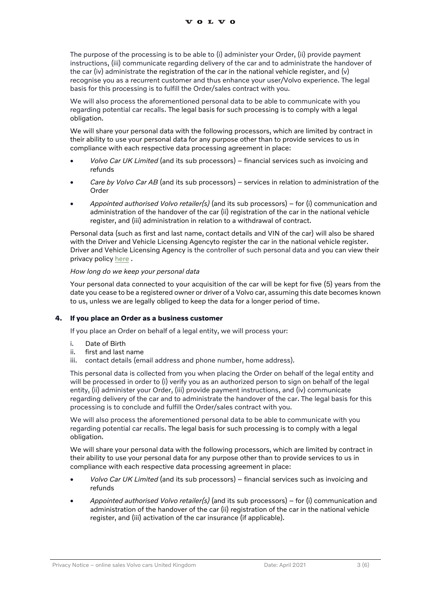The purpose of the processing is to be able to (i) administer your Order, (ii) provide payment instructions, (iii) communicate regarding delivery of the car and to administrate the handover of the car (iv) administrate the registration of the car in the national vehicle register, and (v) recognise you as a recurrent customer and thus enhance your user/Volvo experience. The legal basis for this processing is to fulfill the Order/sales contract with you.

We will also process the aforementioned personal data to be able to communicate with you regarding potential car recalls. The legal basis for such processing is to comply with a legal obligation.

We will share your personal data with the following processors, which are limited by contract in their ability to use your personal data for any purpose other than to provide services to us in compliance with each respective data processing agreement in place:

- *Volvo Car UK Limited* (and its sub processors) financial services such as invoicing and refunds
- *Care by Volvo Car AB* (and its sub processors) services in relation to administration of the Order
- *Appointed authorised Volvo retailer(s)* (and its sub processors) for (i) communication and administration of the handover of the car (ii) registration of the car in the national vehicle register, and (iii) administration in relation to a withdrawal of contract.

Personal data (such as first and last name, contact details and VIN of the car) will also be shared with the Driver and Vehicle Licensing Agencyto register the car in the national vehicle register. Driver and Vehicle Licensing Agency is the controller of such personal data and you can view their privacy policy [here](https://www.gov.uk/help/privacy-notice) .

#### *How long do we keep your personal data*

Your personal data connected to your acquisition of the car will be kept for five (5) years from the date you cease to be a registered owner or driver of a Volvo car, assuming this date becomes known to us, unless we are legally obliged to keep the data for a longer period of time.

### **4. If you place an Order as a business customer**

If you place an Order on behalf of a legal entity, we will process your:

- i. Date of Birth
- ii. first and last name
- iii. contact details (email address and phone number, home address).

This personal data is collected from you when placing the Order on behalf of the legal entity and will be processed in order to (i) verify you as an authorized person to sign on behalf of the legal entity, (ii) administer your Order, (iii) provide payment instructions, and (iv) communicate regarding delivery of the car and to administrate the handover of the car. The legal basis for this processing is to conclude and fulfill the Order/sales contract with you.

We will also process the aforementioned personal data to be able to communicate with you regarding potential car recalls. The legal basis for such processing is to comply with a legal obligation.

We will share your personal data with the following processors, which are limited by contract in their ability to use your personal data for any purpose other than to provide services to us in compliance with each respective data processing agreement in place:

- *Volvo Car UK Limited* (and its sub processors) financial services such as invoicing and refunds
- *Appointed authorised Volvo retailer(s)* (and its sub processors) for (i) communication and administration of the handover of the car (ii) registration of the car in the national vehicle register, and (iii) activation of the car insurance (if applicable).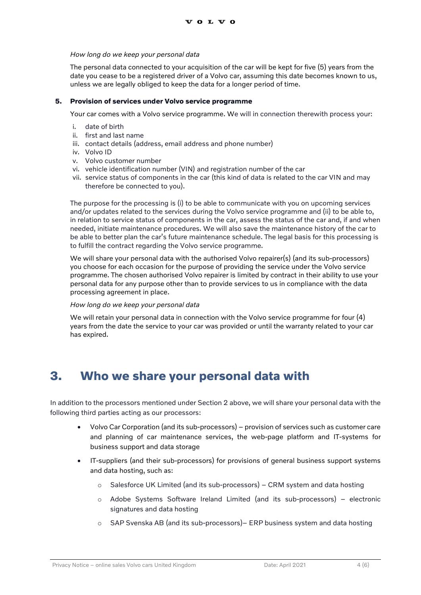#### *How long do we keep your personal data*

The personal data connected to your acquisition of the car will be kept for five (5) years from the date you cease to be a registered driver of a Volvo car, assuming this date becomes known to us, unless we are legally obliged to keep the data for a longer period of time.

#### **5. Provision of services under Volvo service programme**

Your car comes with a Volvo service programme. We will in connection therewith process your:

- i. date of birth
- ii. first and last name
- iii. contact details (address, email address and phone number)
- iv. Volvo ID
- v. Volvo customer number
- vi. vehicle identification number (VIN) and registration number of the car
- vii. service status of components in the car (this kind of data is related to the car VIN and may therefore be connected to you).

The purpose for the processing is (i) to be able to communicate with you on upcoming services and/or updates related to the services during the Volvo service programme and (ii) to be able to, in relation to service status of components in the car, assess the status of the car and, if and when needed, initiate maintenance procedures. We will also save the maintenance history of the car to be able to better plan the car's future maintenance schedule. The legal basis for this processing is to fulfill the contract regarding the Volvo service programme.

We will share your personal data with the authorised Volvo repairer(s) (and its sub-processors) you choose for each occasion for the purpose of providing the service under the Volvo service programme. The chosen authorised Volvo repairer is limited by contract in their ability to use your personal data for any purpose other than to provide services to us in compliance with the data processing agreement in place.

#### *How long do we keep your personal data*

We will retain your personal data in connection with the Volvo service programme for four (4) years from the date the service to your car was provided or until the warranty related to your car has expired.

# **3. Who we share your personal data with**

In addition to the processors mentioned under Section 2 above, we will share your personal data with the following third parties acting as our processors:

- Volvo Car Corporation (and its sub-processors) provision of services such as customer care and planning of car maintenance services, the web-page platform and IT-systems for business support and data storage
- IT-suppliers (and their sub-processors) for provisions of general business support systems and data hosting, such as:
	- o Salesforce UK Limited (and its sub-processors) CRM system and data hosting
	- o Adobe Systems Software Ireland Limited (and its sub-processors) electronic signatures and data hosting
	- o SAP Svenska AB (and its sub-processors)– ERP business system and data hosting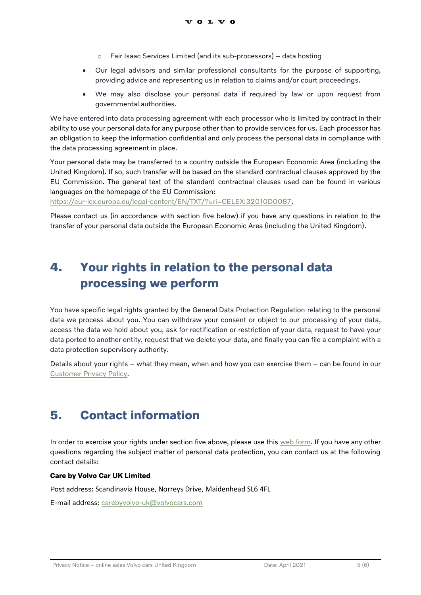- o Fair Isaac Services Limited (and its sub-processors) data hosting
- Our legal advisors and similar professional consultants for the purpose of supporting, providing advice and representing us in relation to claims and/or court proceedings.
- We may also disclose your personal data if required by law or upon request from governmental authorities.

We have entered into data processing agreement with each processor who is limited by contract in their ability to use your personal data for any purpose other than to provide services for us. Each processor has an obligation to keep the information confidential and only process the personal data in compliance with the data processing agreement in place.

Your personal data may be transferred to a country outside the European Economic Area (including the United Kingdom). If so, such transfer will be based on the standard contractual clauses approved by the EU Commission. The general text of the standard contractual clauses used can be found in various languages on the homepage of the EU Commission:

[https://eur-lex.europa.eu/legal-content/EN/TXT/?uri=CELEX:32010D0087.](https://eur-lex.europa.eu/legal-content/EN/TXT/?uri=CELEX:32010D0087)

Please contact us (in accordance with section five below) if you have any questions in relation to the transfer of your personal data outside the European Economic Area (including the United Kingdom).

# **4. Your rights in relation to the personal data processing we perform**

You have specific legal rights granted by the General Data Protection Regulation relating to the personal data we process about you. You can withdraw your consent or object to our processing of your data, access the data we hold about you, ask for rectification or restriction of your data, request to have your data ported to another entity, request that we delete your data, and finally you can file a complaint with a data protection supervisory authority.

Details about your rights – what they mean, when and how you can exercise them – can be found in our [Customer Privacy Policy.](https://www.volvocars.com/uk/support/article/privacy-customer-privacy-policy)

# **5. Contact information**

In order to exercise your rights under section five above, please use this [web form.](https://www.volvocars.com/uk/subject-rights-request) If you have any other questions regarding the subject matter of personal data protection, you can contact us at the following contact details:

### **Care by Volvo Car UK Limited**

Post address: Scandinavia House, Norreys Drive, Maidenhead SL6 4FL

E-mail address[: carebyvolvo-uk@volvocars.com](mailto:carebyvolvo-uk@volvocars.com)